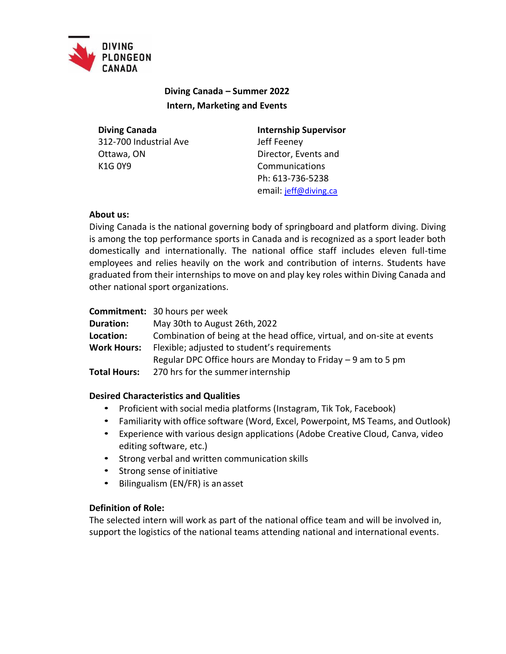

# **Diving Canada – Summer 2022 Intern, Marketing and Events**

**Diving Canada** 312-700 Industrial Ave Ottawa, ON K1G 0Y9

**Internship Supervisor** Jeff Feeney Director, Events and Communications Ph: 613-736-5238 email: [jeff@diving.ca](mailto:jeff@diving.ca)

## **About us:**

Diving Canada is the national governing body of springboard and platform diving. Diving is among the top performance sports in Canada and is recognized as a sport leader both domestically and internationally. The national office staff includes eleven full-time employees and relies heavily on the work and contribution of interns. Students have graduated from their internships to move on and play key roles within Diving Canada and other national sport organizations.

**Commitment:** 30 hours per week **Duration:** May 30th to August 26th,2022 **Location:** Combination of being at the head office, virtual, and on-site at events **Work Hours:** Flexible; adjusted to student's requirements Regular DPC Office hours are Monday to Friday – 9 am to 5 pm **Total Hours:** 270 hrs for the summerinternship

## **Desired Characteristics and Qualities**

- Proficient with social media platforms (Instagram, Tik Tok, Facebook)
- Familiarity with office software (Word, Excel, Powerpoint, MS Teams, and Outlook)
- Experience with various design applications (Adobe Creative Cloud, Canva, video editing software, etc.)
- Strong verbal and written communication skills
- Strong sense of initiative
- Bilingualism (EN/FR) is an asset

## **Definition of Role:**

The selected intern will work as part of the national office team and will be involved in, support the logistics of the national teams attending national and international events.